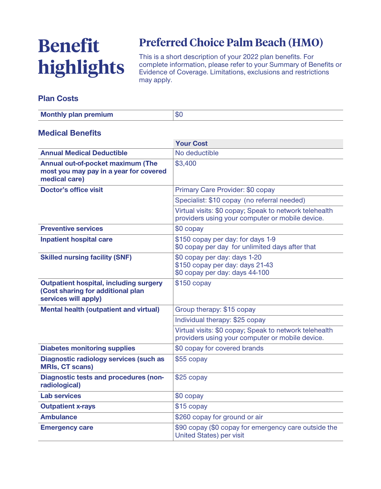# **Benefit highlights**

# **Preferred Choice Palm Beach (HMO)**

**This is a short description of your 2022 plan benefits. For complete information, please refer to your Summary of Benefits or Evidence of Coverage. Limitations, exclusions and restrictions may apply.**

#### **Plan Costs**

| <b>Monthly plan premium</b> | $\triangle$<br>ত৷ |
|-----------------------------|-------------------|
|                             |                   |

#### **Medical Benefits**

|                                                                                                            | <b>Your Cost</b>                                                                                          |  |
|------------------------------------------------------------------------------------------------------------|-----------------------------------------------------------------------------------------------------------|--|
| <b>Annual Medical Deductible</b>                                                                           | No deductible                                                                                             |  |
| Annual out-of-pocket maximum (The<br>most you may pay in a year for covered<br>medical care)               | \$3,400                                                                                                   |  |
| <b>Doctor's office visit</b>                                                                               | Primary Care Provider: \$0 copay                                                                          |  |
|                                                                                                            | Specialist: \$10 copay (no referral needed)                                                               |  |
|                                                                                                            | Virtual visits: \$0 copay; Speak to network telehealth<br>providers using your computer or mobile device. |  |
| <b>Preventive services</b>                                                                                 | \$0 copay                                                                                                 |  |
| <b>Inpatient hospital care</b>                                                                             | \$150 copay per day: for days 1-9<br>\$0 copay per day for unlimited days after that                      |  |
| <b>Skilled nursing facility (SNF)</b>                                                                      | \$0 copay per day: days 1-20<br>\$150 copay per day: days 21-43<br>\$0 copay per day: days 44-100         |  |
| <b>Outpatient hospital, including surgery</b><br>(Cost sharing for additional plan<br>services will apply) | $$150$ copay                                                                                              |  |
| <b>Mental health (outpatient and virtual)</b>                                                              | Group therapy: \$15 copay                                                                                 |  |
|                                                                                                            | Individual therapy: \$25 copay                                                                            |  |
|                                                                                                            | Virtual visits: \$0 copay; Speak to network telehealth<br>providers using your computer or mobile device. |  |
| <b>Diabetes monitoring supplies</b>                                                                        | \$0 copay for covered brands                                                                              |  |
| <b>Diagnostic radiology services (such as</b><br><b>MRIs, CT scans)</b>                                    | $$55$ copay                                                                                               |  |
| <b>Diagnostic tests and procedures (non-</b><br>radiological)                                              | \$25 copay                                                                                                |  |
| <b>Lab services</b>                                                                                        | \$0 copay                                                                                                 |  |
| <b>Outpatient x-rays</b>                                                                                   | \$15 copay                                                                                                |  |
| <b>Ambulance</b>                                                                                           | \$260 copay for ground or air                                                                             |  |
| <b>Emergency care</b>                                                                                      | \$90 copay (\$0 copay for emergency care outside the<br><b>United States) per visit</b>                   |  |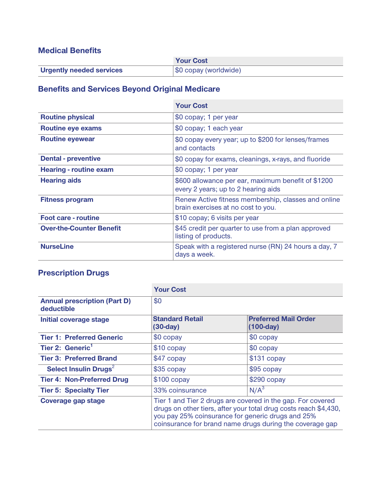### **Medical Benefits**

|                                 | <b>Your Cost</b>      |
|---------------------------------|-----------------------|
| <b>Urgently needed services</b> | \$0 copay (worldwide) |

# **Benefits and Services Beyond Original Medicare**

|                                 | <b>Your Cost</b>                                                                          |
|---------------------------------|-------------------------------------------------------------------------------------------|
| <b>Routine physical</b>         | \$0 copay; 1 per year                                                                     |
| <b>Routine eye exams</b>        | \$0 copay; 1 each year                                                                    |
| <b>Routine eyewear</b>          | \$0 copay every year; up to \$200 for lenses/frames<br>and contacts                       |
| <b>Dental - preventive</b>      | \$0 copay for exams, cleanings, x-rays, and fluoride                                      |
| <b>Hearing - routine exam</b>   | \$0 copay; 1 per year                                                                     |
| <b>Hearing aids</b>             | \$600 allowance per ear, maximum benefit of \$1200<br>every 2 years; up to 2 hearing aids |
| <b>Fitness program</b>          | Renew Active fitness membership, classes and online<br>brain exercises at no cost to you. |
| <b>Foot care - routine</b>      | \$10 copay; 6 visits per year                                                             |
| <b>Over-the-Counter Benefit</b> | \$45 credit per quarter to use from a plan approved<br>listing of products.               |
| <b>NurseLine</b>                | Speak with a registered nurse (RN) 24 hours a day, 7<br>days a week.                      |

## **Prescription Drugs**

|                                                   | <b>Your Cost</b>                                                                                                                                                                                                                                 |                                            |
|---------------------------------------------------|--------------------------------------------------------------------------------------------------------------------------------------------------------------------------------------------------------------------------------------------------|--------------------------------------------|
| <b>Annual prescription (Part D)</b><br>deductible | \$0                                                                                                                                                                                                                                              |                                            |
| Initial coverage stage                            | <b>Standard Retail</b><br>$(30-day)$                                                                                                                                                                                                             | <b>Preferred Mail Order</b><br>$(100-day)$ |
| <b>Tier 1: Preferred Generic</b>                  | $$0$ copay                                                                                                                                                                                                                                       | $$0$ copay                                 |
| Tier 2: Generic <sup>1</sup>                      | $$10$ copay                                                                                                                                                                                                                                      | $$0$ copay                                 |
| <b>Tier 3: Preferred Brand</b>                    | \$47 copay                                                                                                                                                                                                                                       | $$131$ copay                               |
| Select Insulin Drugs <sup>2</sup>                 | $$35$ copay                                                                                                                                                                                                                                      | $$95$ copay                                |
| <b>Tier 4: Non-Preferred Drug</b>                 | $$100$ copay                                                                                                                                                                                                                                     | $$290$ copay                               |
| <b>Tier 5: Specialty Tier</b>                     | 33% coinsurance                                                                                                                                                                                                                                  | N/A <sup>3</sup>                           |
| <b>Coverage gap stage</b>                         | Tier 1 and Tier 2 drugs are covered in the gap. For covered<br>drugs on other tiers, after your total drug costs reach \$4,430,<br>you pay 25% coinsurance for generic drugs and 25%<br>coinsurance for brand name drugs during the coverage gap |                                            |